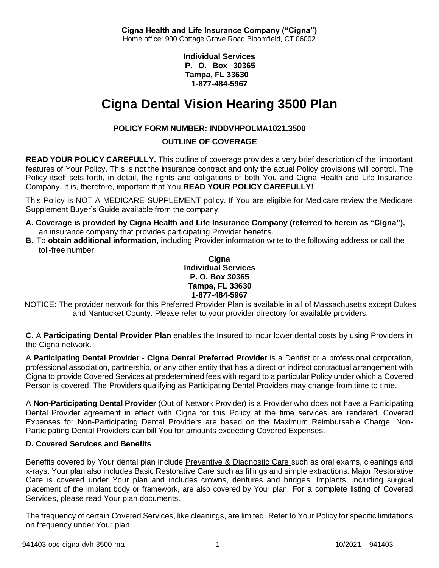**Cigna Health and Life Insurance Company ("Cigna")** Home office: 900 Cottage Grove Road Bloomfield, CT 06002

> **Individual Services P. O. Box 30365 Tampa, FL 33630 1-877-484-5967**

# **Cigna Dental Vision Hearing 3500 Plan**

# **POLICY FORM NUMBER: INDDVHPOLMA1021.3500**

# **OUTLINE OF COVERAGE**

**READ YOUR POLICY CAREFULLY.** This outline of coverage provides a very brief description of the important features of Your Policy. This is not the insurance contract and only the actual Policy provisions will control. The Policy itself sets forth, in detail, the rights and obligations of both You and Cigna Health and Life Insurance Company. It is, therefore, important that You **READ YOUR POLICY CAREFULLY!**

This Policy is NOT A MEDICARE SUPPLEMENT policy. If You are eligible for Medicare review the Medicare Supplement Buyer's Guide available from the company.

- **A. Coverage is provided by Cigna Health and Life Insurance Company (referred to herein as "Cigna"),** an insurance company that provides participating Provider benefits.
- **B.** To **obtain additional information**, including Provider information write to the following address or call the toll-free number:

**Cigna Individual Services P. O. Box 30365 Tampa, FL 33630 1-877-484-5967**

NOTICE: The provider network for this Preferred Provider Plan is available in all of Massachusetts except Dukes and Nantucket County. Please refer to your provider directory for available providers.

**C.** A **Participating Dental Provider Plan** enables the Insured to incur lower dental costs by using Providers in the Cigna network.

A **Participating Dental Provider - Cigna Dental Preferred Provider** is a Dentist or a professional corporation, professional association, partnership, or any other entity that has a direct or indirect contractual arrangement with Cigna to provide Covered Services at predetermined fees with regard to a particular Policy under which a Covered Person is covered. The Providers qualifying as Participating Dental Providers may change from time to time.

A **Non-Participating Dental Provider** (Out of Network Provider) is a Provider who does not have a Participating Dental Provider agreement in effect with Cigna for this Policy at the time services are rendered. Covered Expenses for Non-Participating Dental Providers are based on the Maximum Reimbursable Charge. Non-Participating Dental Providers can bill You for amounts exceeding Covered Expenses.

# **D. Covered Services and Benefits**

Benefits covered by Your dental plan include Preventive & Diagnostic Care such as oral exams, cleanings and x-rays. Your plan also includes Basic Restorative Care such as fillings and simple extractions. Major Restorative Care is covered under Your plan and includes crowns, dentures and bridges. Implants, including surgical placement of the implant body or framework, are also covered by Your plan. For a complete listing of Covered Services, please read Your plan documents.

The frequency of certain Covered Services, like cleanings, are limited. Refer to Your Policy for specific limitations on frequency under Your plan.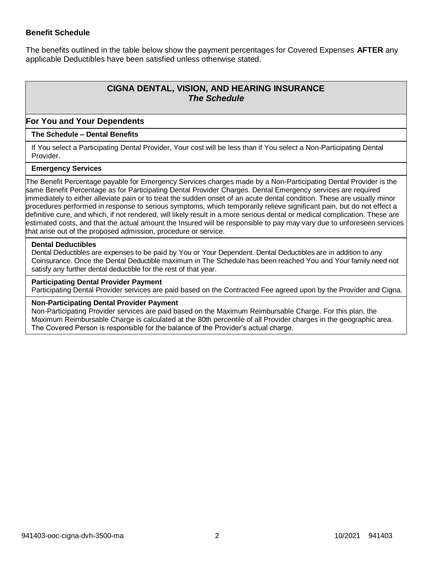### **Benefit Schedule**

The benefits outlined in the table below show the payment percentages for Covered Expenses **AFTER** any applicable Deductibles have been satisfied unless otherwise stated.

# **CIGNA DENTAL, VISION, AND HEARING INSURANCE** *The Schedule*

### **For You and Your Dependents**

### **The Schedule – Dental Benefits**

If You select a Participating Dental Provider, Your cost will be less than if You select a Non-Participating Dental Provider.

#### **Emergency Services**

The Benefit Percentage payable for Emergency Services charges made by a Non-Participating Dental Provider is the same Benefit Percentage as for Participating Dental Provider Charges. Dental Emergency services are required immediately to either alleviate pain or to treat the sudden onset of an acute dental condition. These are usually minor procedures performed in response to serious symptoms, which temporarily relieve significant pain, but do not effect a definitive cure, and which, if not rendered, will likely result in a more serious dental or medical complication. These are estimated costs, and that the actual amount the Insured will be responsible to pay may vary due to unforeseen services that arise out of the proposed admission, procedure or service.

#### **Dental Deductibles**

Dental Deductibles are expenses to be paid by You or Your Dependent. Dental Deductibles are in addition to any Coinsurance. Once the Dental Deductible maximum in The Schedule has been reached You and Your family need not satisfy any further dental deductible for the rest of that year.

#### **Participating Dental Provider Payment**

Participating Dental Provider services are paid based on the Contracted Fee agreed upon by the Provider and Cigna.

#### **Non-Participating Dental Provider Payment**

Non-Participating Provider services are paid based on the Maximum Reimbursable Charge. For this plan, the Maximum Reimbursable Charge is calculated at the 80th percentile of all Provider charges in the geographic area. The Covered Person is responsible for the balance of the Provider's actual charge.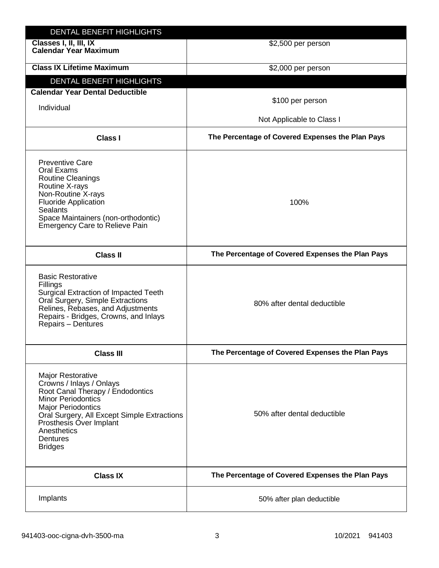| DENTAL BENEFIT HIGHLIGHTS                                                                                                                                                                                                                                                 |                                                  |
|---------------------------------------------------------------------------------------------------------------------------------------------------------------------------------------------------------------------------------------------------------------------------|--------------------------------------------------|
| Classes I, II, III, IX<br><b>Calendar Year Maximum</b>                                                                                                                                                                                                                    | \$2,500 per person                               |
| <b>Class IX Lifetime Maximum</b>                                                                                                                                                                                                                                          | \$2,000 per person                               |
| DENTAL BENEFIT HIGHLIGHTS                                                                                                                                                                                                                                                 |                                                  |
| <b>Calendar Year Dental Deductible</b>                                                                                                                                                                                                                                    |                                                  |
| Individual                                                                                                                                                                                                                                                                | \$100 per person                                 |
|                                                                                                                                                                                                                                                                           | Not Applicable to Class I                        |
| <b>Class I</b>                                                                                                                                                                                                                                                            | The Percentage of Covered Expenses the Plan Pays |
| <b>Preventive Care</b><br>Oral Exams<br>Routine Cleanings<br>Routine X-rays<br>Non-Routine X-rays<br><b>Fluoride Application</b><br><b>Sealants</b><br>Space Maintainers (non-orthodontic)<br><b>Emergency Care to Relieve Pain</b>                                       | 100%                                             |
| <b>Class II</b>                                                                                                                                                                                                                                                           | The Percentage of Covered Expenses the Plan Pays |
| <b>Basic Restorative</b><br>Fillings<br>Surgical Extraction of Impacted Teeth<br>Oral Surgery, Simple Extractions<br>Relines, Rebases, and Adjustments<br>Repairs - Bridges, Crowns, and Inlays<br>Repairs - Dentures                                                     | 80% after dental deductible                      |
| <b>Class III</b>                                                                                                                                                                                                                                                          | The Percentage of Covered Expenses the Plan Pays |
| <b>Major Restorative</b><br>Crowns / Inlays / Onlays<br>Root Canal Therapy / Endodontics<br><b>Minor Periodontics</b><br><b>Major Periodontics</b><br>Oral Surgery, All Except Simple Extractions<br>Prosthesis Over Implant<br>Anesthetics<br>Dentures<br><b>Bridges</b> | 50% after dental deductible                      |
| <b>Class IX</b>                                                                                                                                                                                                                                                           | The Percentage of Covered Expenses the Plan Pays |
| Implants                                                                                                                                                                                                                                                                  | 50% after plan deductible                        |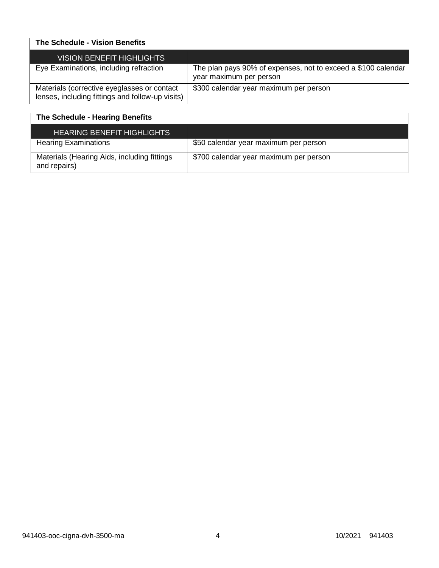| The Schedule - Vision Benefits                                                                  |                                                                                          |
|-------------------------------------------------------------------------------------------------|------------------------------------------------------------------------------------------|
| VISION BENEFIT HIGHLIGHTS                                                                       |                                                                                          |
| Eye Examinations, including refraction                                                          | The plan pays 90% of expenses, not to exceed a \$100 calendar<br>year maximum per person |
| Materials (corrective eyeglasses or contact<br>lenses, including fittings and follow-up visits) | \$300 calendar year maximum per person                                                   |

| The Schedule - Hearing Benefits                             |                                        |
|-------------------------------------------------------------|----------------------------------------|
| <b>HEARING BENEFIT HIGHLIGHTS</b>                           |                                        |
| <b>Hearing Examinations</b>                                 | \$50 calendar year maximum per person  |
| Materials (Hearing Aids, including fittings<br>and repairs) | \$700 calendar year maximum per person |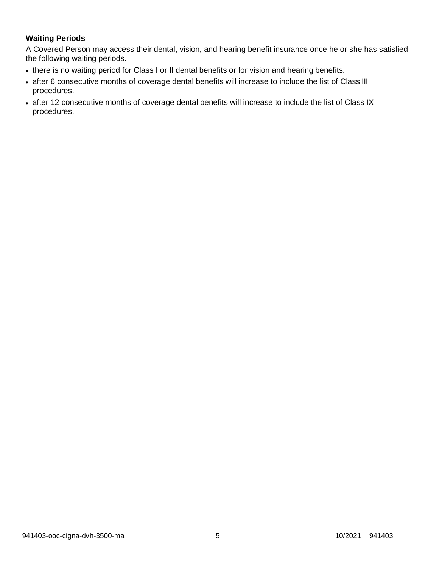# **Waiting Periods**

A Covered Person may access their dental, vision, and hearing benefit insurance once he or she has satisfied the following waiting periods.

- there is no waiting period for Class I or II dental benefits or for vision and hearing benefits.
- after 6 consecutive months of coverage dental benefits will increase to include the list of Class III procedures.
- after 12 consecutive months of coverage dental benefits will increase to include the list of Class IX procedures.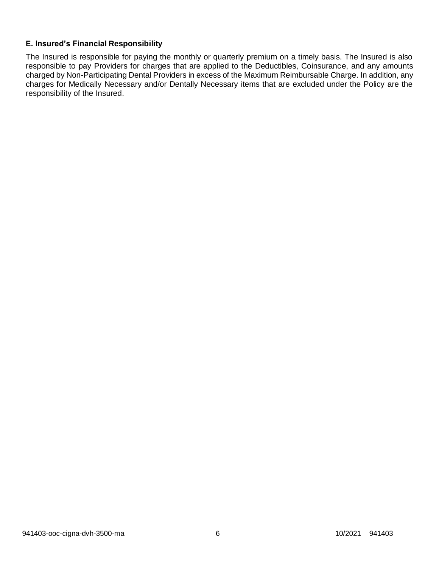## **E. Insured's Financial Responsibility**

The Insured is responsible for paying the monthly or quarterly premium on a timely basis. The Insured is also responsible to pay Providers for charges that are applied to the Deductibles, Coinsurance, and any amounts charged by Non-Participating Dental Providers in excess of the Maximum Reimbursable Charge. In addition, any charges for Medically Necessary and/or Dentally Necessary items that are excluded under the Policy are the responsibility of the Insured.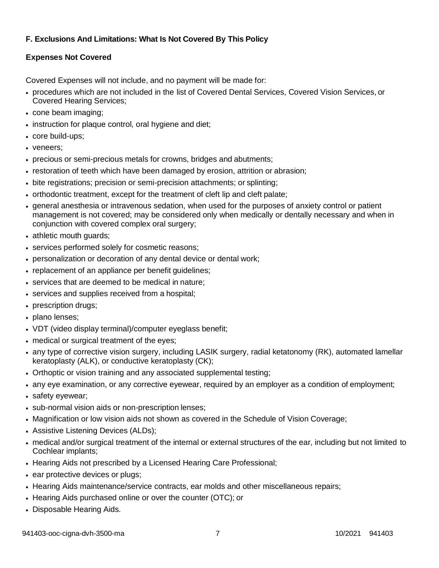# **F. Exclusions And Limitations: What Is Not Covered By This Policy**

# **Expenses Not Covered**

Covered Expenses will not include, and no payment will be made for:

- procedures which are not included in the list of Covered Dental Services, Covered Vision Services, or Covered Hearing Services;
- cone beam imaging;
- instruction for plaque control, oral hygiene and diet;
- core build-ups;
- veneers:
- precious or semi-precious metals for crowns, bridges and abutments;
- restoration of teeth which have been damaged by erosion, attrition or abrasion;
- bite registrations; precision or semi-precision attachments; or splinting;
- orthodontic treatment, except for the treatment of cleft lip and cleft palate;
- general anesthesia or intravenous sedation, when used for the purposes of anxiety control or patient management is not covered; may be considered only when medically or dentally necessary and when in conjunction with covered complex oral surgery;
- athletic mouth guards;
- services performed solely for cosmetic reasons;
- personalization or decoration of any dental device or dental work;
- replacement of an appliance per benefit guidelines;
- services that are deemed to be medical in nature;
- services and supplies received from a hospital;
- prescription drugs;
- plano lenses;
- VDT (video display terminal)/computer eyeglass benefit;
- medical or surgical treatment of the eyes;
- any type of corrective vision surgery, including LASIK surgery, radial ketatonomy (RK), automated lamellar keratoplasty (ALK), or conductive keratoplasty (CK);
- Orthoptic or vision training and any associated supplemental testing;
- any eye examination, or any corrective eyewear, required by an employer as a condition of employment;
- safety eyewear;
- sub-normal vision aids or non-prescription lenses;
- Magnification or low vision aids not shown as covered in the Schedule of Vision Coverage;
- Assistive Listening Devices (ALDs);
- medical and/or surgical treatment of the internal or external structures of the ear, including but not limited to Cochlear implants;
- Hearing Aids not prescribed by a Licensed Hearing Care Professional;
- ear protective devices or plugs;
- Hearing Aids maintenance/service contracts, ear molds and other miscellaneous repairs;
- Hearing Aids purchased online or over the counter (OTC); or
- Disposable Hearing Aids.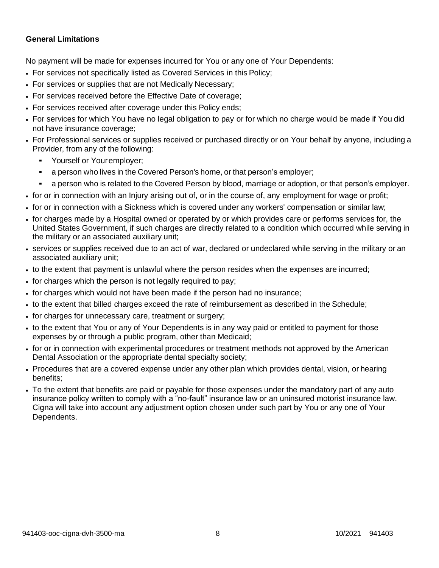### **General Limitations**

No payment will be made for expenses incurred for You or any one of Your Dependents:

- For services not specifically listed as Covered Services in this Policy;
- For services or supplies that are not Medically Necessary;
- For services received before the Effective Date of coverage;
- For services received after coverage under this Policy ends;
- For services for which You have no legal obligation to pay or for which no charge would be made if You did not have insurance coverage;
- For Professional services or supplies received or purchased directly or on Your behalf by anyone, including a Provider, from any of the following:
	- Yourself or Youremployer;
	- a person who lives in the Covered Person's home, or that person's employer;
	- a person who is related to the Covered Person by blood, marriage or adoption, or that person's employer.
- for or in connection with an Injury arising out of, or in the course of, any employment for wage or profit;
- for or in connection with a Sickness which is covered under any workers' compensation or similar law;
- for charges made by a Hospital owned or operated by or which provides care or performs services for, the United States Government, if such charges are directly related to a condition which occurred while serving in the military or an associated auxiliary unit;
- services or supplies received due to an act of war, declared or undeclared while serving in the military or an associated auxiliary unit;
- to the extent that payment is unlawful where the person resides when the expenses are incurred;
- for charges which the person is not legally required to pay;
- for charges which would not have been made if the person had no insurance;
- to the extent that billed charges exceed the rate of reimbursement as described in the Schedule;
- for charges for unnecessary care, treatment or surgery;
- to the extent that You or any of Your Dependents is in any way paid or entitled to payment for those expenses by or through a public program, other than Medicaid;
- for or in connection with experimental procedures or treatment methods not approved by the American Dental Association or the appropriate dental specialty society;
- Procedures that are a covered expense under any other plan which provides dental, vision, or hearing benefits;
- To the extent that benefits are paid or payable for those expenses under the mandatory part of any auto insurance policy written to comply with a "no-fault" insurance law or an uninsured motorist insurance law. Cigna will take into account any adjustment option chosen under such part by You or any one of Your Dependents.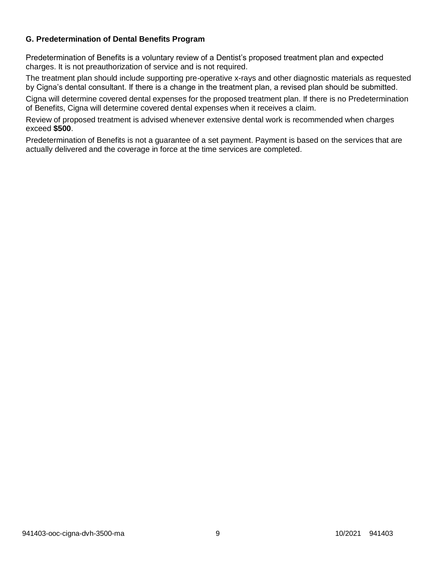## **G. Predetermination of Dental Benefits Program**

Predetermination of Benefits is a voluntary review of a Dentist's proposed treatment plan and expected charges. It is not preauthorization of service and is not required.

The treatment plan should include supporting pre-operative x-rays and other diagnostic materials as requested by Cigna's dental consultant. If there is a change in the treatment plan, a revised plan should be submitted.

Cigna will determine covered dental expenses for the proposed treatment plan. If there is no Predetermination of Benefits, Cigna will determine covered dental expenses when it receives a claim.

Review of proposed treatment is advised whenever extensive dental work is recommended when charges exceed **\$500**.

Predetermination of Benefits is not a guarantee of a set payment. Payment is based on the services that are actually delivered and the coverage in force at the time services are completed.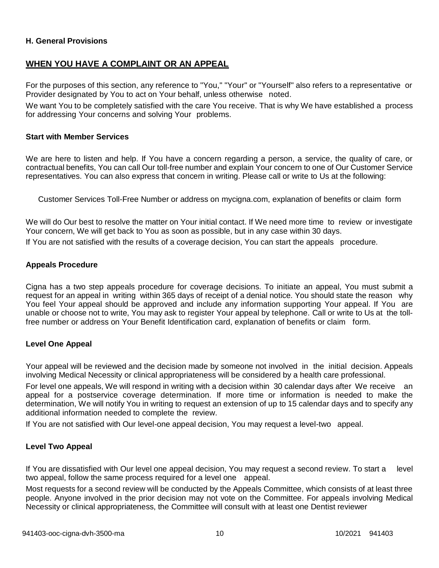### **H. General Provisions**

## **WHEN YOU HAVE A COMPLAINT OR AN APPEAL**

For the purposes of this section, any reference to "You," "Your" or "Yourself" also refers to a representative or Provider designated by You to act on Your behalf, unless otherwise noted.

We want You to be completely satisfied with the care You receive. That is why We have established a process for addressing Your concerns and solving Your problems.

#### **Start with Member Services**

We are here to listen and help. If You have a concern regarding a person, a service, the quality of care, or contractual benefits, You can call Our toll-free number and explain Your concern to one of Our Customer Service representatives. You can also express that concern in writing. Please call or write to Us at the following:

Customer Services Toll-Free Number or address on mycigna.com, explanation of benefits or claim form

We will do Our best to resolve the matter on Your initial contact. If We need more time to review or investigate Your concern, We will get back to You as soon as possible, but in any case within 30 days.

If You are not satisfied with the results of a coverage decision, You can start the appeals procedure.

### **Appeals Procedure**

Cigna has a two step appeals procedure for coverage decisions. To initiate an appeal, You must submit a request for an appeal in writing within 365 days of receipt of a denial notice. You should state the reason why You feel Your appeal should be approved and include any information supporting Your appeal. If You are unable or choose not to write, You may ask to register Your appeal by telephone. Call or write to Us at the tollfree number or address on Your Benefit Identification card, explanation of benefits or claim form.

### **Level One Appeal**

Your appeal will be reviewed and the decision made by someone not involved in the initial decision. Appeals involving Medical Necessity or clinical appropriateness will be considered by a health care professional.

For level one appeals, We will respond in writing with a decision within 30 calendar days after We receive an appeal for a postservice coverage determination. If more time or information is needed to make the determination, We will notify You in writing to request an extension of up to 15 calendar days and to specify any additional information needed to complete the review.

If You are not satisfied with Our level-one appeal decision, You may request a level-two appeal.

### **Level Two Appeal**

If You are dissatisfied with Our level one appeal decision, You may request a second review. To start a level two appeal, follow the same process required for a level one appeal.

Most requests for a second review will be conducted by the Appeals Committee, which consists of at least three people. Anyone involved in the prior decision may not vote on the Committee. For appeals involving Medical Necessity or clinical appropriateness, the Committee will consult with at least one Dentist reviewer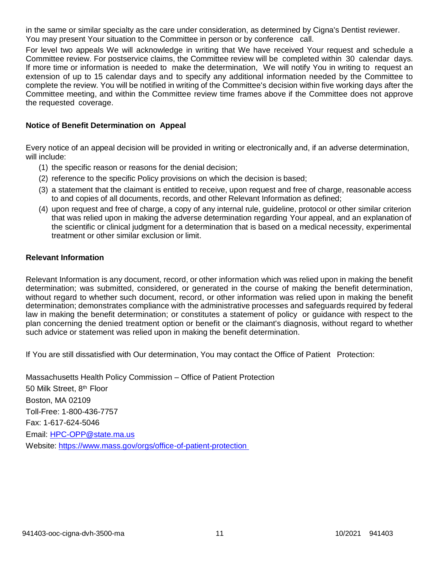in the same or similar specialty as the care under consideration, as determined by Cigna's Dentist reviewer. You may present Your situation to the Committee in person or by conference call.

For level two appeals We will acknowledge in writing that We have received Your request and schedule a Committee review. For postservice claims, the Committee review will be completed within 30 calendar days. If more time or information is needed to make the determination, We will notify You in writing to request an extension of up to 15 calendar days and to specify any additional information needed by the Committee to complete the review. You will be notified in writing of the Committee's decision within five working days after the Committee meeting, and within the Committee review time frames above if the Committee does not approve the requested coverage.

### **Notice of Benefit Determination on Appeal**

Every notice of an appeal decision will be provided in writing or electronically and, if an adverse determination, will include:

- (1) the specific reason or reasons for the denial decision;
- (2) reference to the specific Policy provisions on which the decision is based;
- (3) a statement that the claimant is entitled to receive, upon request and free of charge, reasonable access to and copies of all documents, records, and other Relevant Information as defined;
- (4) upon request and free of charge, a copy of any internal rule, guideline, protocol or other similar criterion that was relied upon in making the adverse determination regarding Your appeal, and an explanation of the scientific or clinical judgment for a determination that is based on a medical necessity, experimental treatment or other similar exclusion or limit.

### **Relevant Information**

Relevant Information is any document, record, or other information which was relied upon in making the benefit determination; was submitted, considered, or generated in the course of making the benefit determination, without regard to whether such document, record, or other information was relied upon in making the benefit determination; demonstrates compliance with the administrative processes and safeguards required by federal law in making the benefit determination; or constitutes a statement of policy or guidance with respect to the plan concerning the denied treatment option or benefit or the claimant's diagnosis, without regard to whether such advice or statement was relied upon in making the benefit determination.

If You are still dissatisfied with Our determination, You may contact the Office of Patient Protection:

Massachusetts Health Policy Commission – Office of Patient Protection 50 Milk Street, 8<sup>th</sup> Floor Boston, MA 02109 Toll-Free: 1-800-436-7757 Fax: 1-617-624-5046 Email: [HPC-OPP@state.ma.us](mailto:HPC-OPP@state.ma.us) Website:<https://www.mass.gov/orgs/office-of-patient-protection>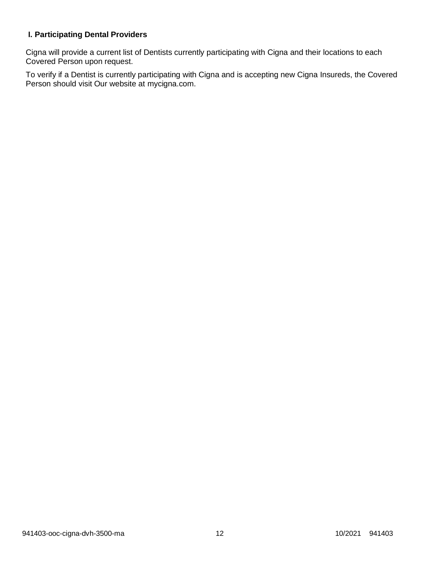# **I. Participating Dental Providers**

Cigna will provide a current list of Dentists currently participating with Cigna and their locations to each Covered Person upon request.

To verify if a Dentist is currently participating with Cigna and is accepting new Cigna Insureds, the Covered Person should visit Our website at mycigna.com.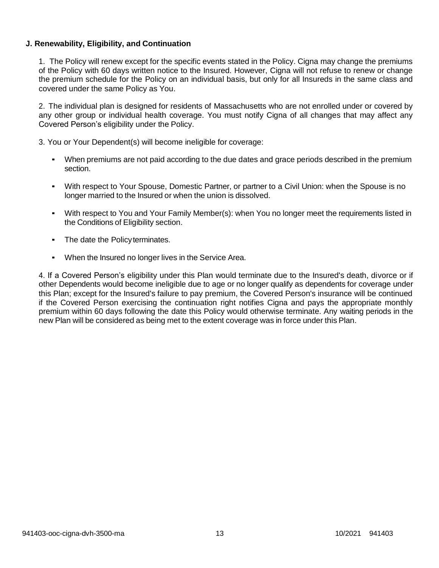### **J. Renewability, Eligibility, and Continuation**

1. The Policy will renew except for the specific events stated in the Policy. Cigna may change the premiums of the Policy with 60 days written notice to the Insured. However, Cigna will not refuse to renew or change the premium schedule for the Policy on an individual basis, but only for all Insureds in the same class and covered under the same Policy as You.

2. The individual plan is designed for residents of Massachusetts who are not enrolled under or covered by any other group or individual health coverage. You must notify Cigna of all changes that may affect any Covered Person's eligibility under the Policy.

3. You or Your Dependent(s) will become ineligible for coverage:

- When premiums are not paid according to the due dates and grace periods described in the premium section.
- With respect to Your Spouse, Domestic Partner, or partner to a Civil Union: when the Spouse is no longer married to the Insured or when the union is dissolved.
- With respect to You and Your Family Member(s): when You no longer meet the requirements listed in the Conditions of Eligibility section.
- The date the Policyterminates.
- When the Insured no longer lives in the Service Area.

4. If a Covered Person's eligibility under this Plan would terminate due to the Insured's death, divorce or if other Dependents would become ineligible due to age or no longer qualify as dependents for coverage under this Plan; except for the Insured's failure to pay premium, the Covered Person's insurance will be continued if the Covered Person exercising the continuation right notifies Cigna and pays the appropriate monthly premium within 60 days following the date this Policy would otherwise terminate. Any waiting periods in the new Plan will be considered as being met to the extent coverage was in force under this Plan.